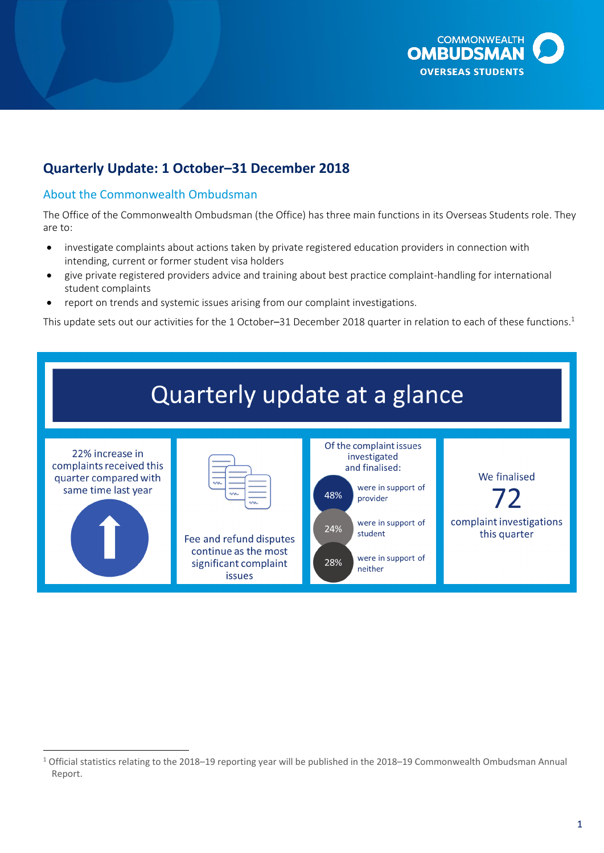

## **Quarterly Update: 1 October–31 December 2018**

## About the Commonwealth Ombudsman

The Office of the Commonwealth Ombudsman (the Office) has three main functions in its Overseas Students role. They are to:

- investigate complaints about actions taken by private registered education providers in connection with intending, current or former student visa holders
- give private registered providers advice and training about best practice complaint-handling for international student complaints
- report on trends and systemic issues arising from our complaint investigations.

This update sets out our activities for the 1 October–31 December 2018 quarter in relation to each of these functions.<sup>1</sup>



 $\overline{\phantom{a}}$  $1$  Official statistics relating to the 2018–19 reporting year will be published in the 2018–19 Commonwealth Ombudsman Annual Report.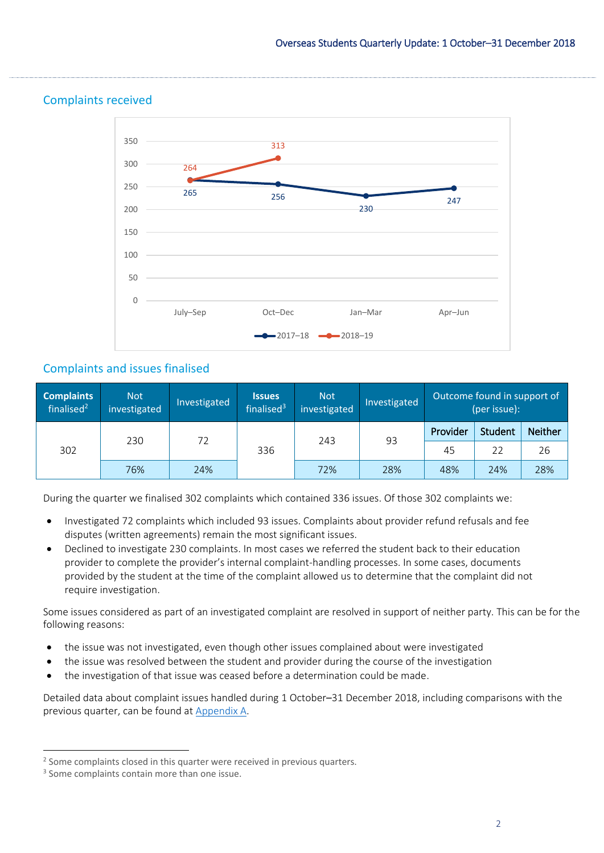

## Complaints received

## Complaints and issues finalised

| <b>Complaints</b><br>finalised $2$ | <b>Not</b><br>investigated | Investigated | <b>Issues</b><br>finalised <sup>3</sup> | <b>Not</b><br>investigated | Investigated | Outcome found in support of<br>(per issue): |                |                |
|------------------------------------|----------------------------|--------------|-----------------------------------------|----------------------------|--------------|---------------------------------------------|----------------|----------------|
| 302                                | 230                        | 72           | 336                                     | 243                        | 93           | Provider                                    | <b>Student</b> | <b>Neither</b> |
|                                    |                            |              |                                         |                            |              | 22<br>45                                    | 26             |                |
|                                    | 76%                        | 24%          |                                         | 72%                        | 28%          | 48%                                         | 24%            | 28%            |

During the quarter we finalised 302 complaints which contained 336 issues. Of those 302 complaints we:

- Investigated 72 complaints which included 93 issues. Complaints about provider refund refusals and fee disputes (written agreements) remain the most significant issues.
- Declined to investigate 230 complaints. In most cases we referred the student back to their education provider to complete the provider's internal complaint-handling processes. In some cases, documents provided by the student at the time of the complaint allowed us to determine that the complaint did not require investigation.

Some issues considered as part of an investigated complaint are resolved in support of neither party. This can be for the following reasons:

- the issue was not investigated, even though other issues complained about were investigated
- the issue was resolved between the student and provider during the course of the investigation
- the investigation of that issue was ceased before a determination could be made.

Detailed data about complaint issues handled during 1 October–31 December 2018, including comparisons with the previous quarter, can be found at [Appendix A.](#page-6-0)

 $\overline{\phantom{a}}$ <sup>2</sup> Some complaints closed in this quarter were received in previous quarters.

<sup>&</sup>lt;sup>3</sup> Some complaints contain more than one issue.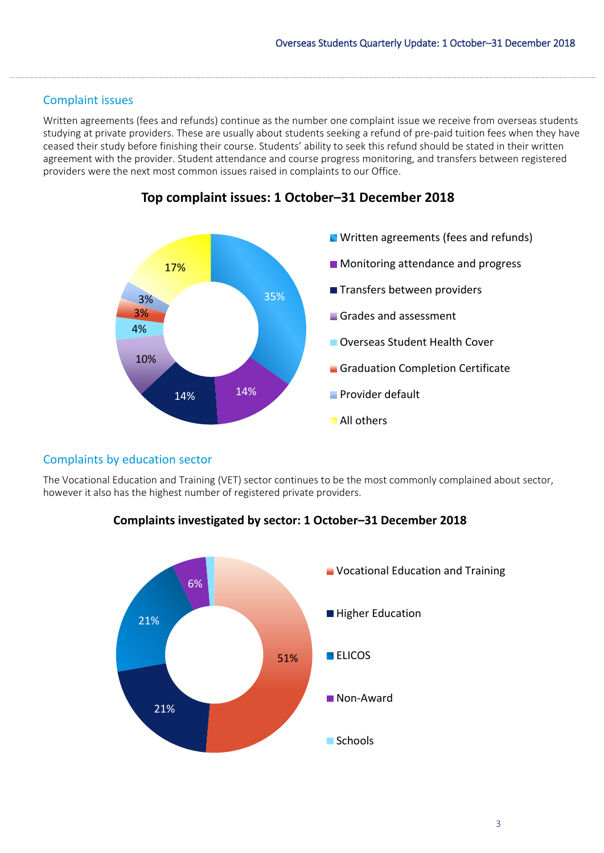### Complaint issues

Written agreements (fees and refunds) continue as the number one complaint issue we receive from overseas students studying at private providers. These are usually about students seeking a refund of pre-paid tuition fees when they have ceased their study before finishing their course. Students' ability to seek this refund should be stated in their written agreement with the provider. Student attendance and course progress monitoring, and transfers between registered providers were the next most common issues raised in complaints to our Office.



## **Top complaint issues: 1 October–31 December 2018**

## Complaints by education sector

The Vocational Education and Training (VET) sector continues to be the most commonly complained about sector, however it also has the highest number of registered private providers.

## **Complaints investigated by sector: 1 October–31 December 2018**

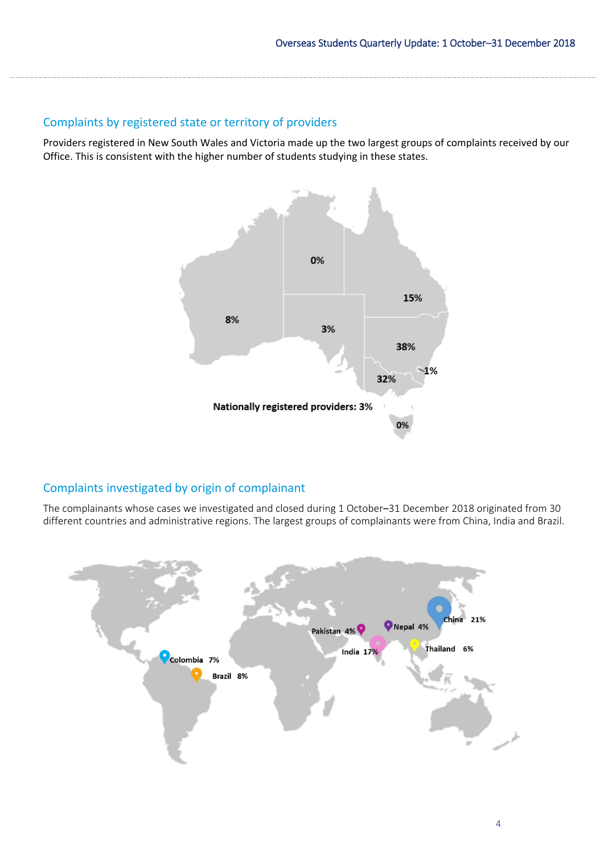## Complaints by registered state or territory of providers

Providers registered in New South Wales and Victoria made up the two largest groups of complaints received by our Office. This is consistent with the higher number of students studying in these states.



## Complaints investigated by origin of complainant

The complainants whose cases we investigated and closed during 1 October–31 December 2018 originated from 30 different countries and administrative regions. The largest groups of complainants were from China, India and Brazil.

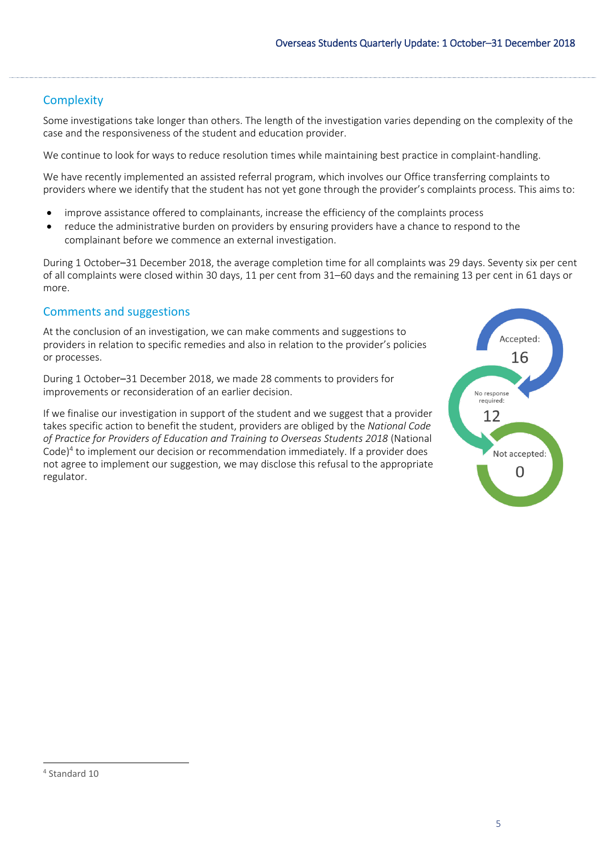## **Complexity**

Some investigations take longer than others. The length of the investigation varies depending on the complexity of the case and the responsiveness of the student and education provider.

We continue to look for ways to reduce resolution times while maintaining best practice in complaint-handling.

We have recently implemented an assisted referral program, which involves our Office transferring complaints to providers where we identify that the student has not yet gone through the provider's complaints process. This aims to:

- improve assistance offered to complainants, increase the efficiency of the complaints process
- reduce the administrative burden on providers by ensuring providers have a chance to respond to the complainant before we commence an external investigation.

During 1 October–31 December 2018, the average completion time for all complaints was 29 days. Seventy six per cent of all complaints were closed within 30 days, 11 per cent from 31–60 days and the remaining 13 per cent in 61 days or more.

## Comments and suggestions

At the conclusion of an investigation, we can make comments and suggestions to providers in relation to specific remedies and also in relation to the provider's policies or processes.

During 1 October–31 December 2018, we made 28 comments to providers for improvements or reconsideration of an earlier decision.

If we finalise our investigation in support of the student and we suggest that a provider takes specific action to benefit the student, providers are obliged by the *National Code of Practice for Providers of Education and Training to Overseas Students 2018* (National Code)<sup>4</sup> to implement our decision or recommendation immediately. If a provider does not agree to implement our suggestion, we may disclose this refusal to the appropriate regulator.



 $\overline{a}$ 

<sup>4</sup> Standard 10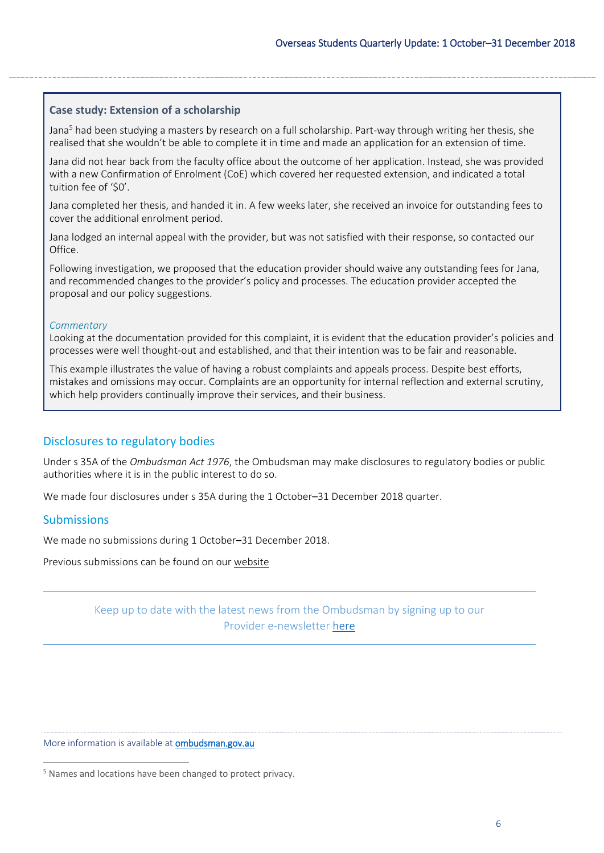#### **Case study: Extension of a scholarship**

Jana<sup>5</sup> had been studying a masters by research on a full scholarship. Part-way through writing her thesis, she realised that she wouldn't be able to complete it in time and made an application for an extension of time.

Jana did not hear back from the faculty office about the outcome of her application. Instead, she was provided with a new Confirmation of Enrolment (CoE) which covered her requested extension, and indicated a total tuition fee of '\$0'.

Jana completed her thesis, and handed it in. A few weeks later, she received an invoice for outstanding fees to cover the additional enrolment period.

Jana lodged an internal appeal with the provider, but was not satisfied with their response, so contacted our Office.

Following investigation, we proposed that the education provider should waive any outstanding fees for Jana, and recommended changes to the provider's policy and processes. The education provider accepted the proposal and our policy suggestions.

#### *Commentary*

Looking at the documentation provided for this complaint, it is evident that the education provider's policies and processes were well thought-out and established, and that their intention was to be fair and reasonable.

This example illustrates the value of having a robust complaints and appeals process. Despite best efforts, mistakes and omissions may occur. Complaints are an opportunity for internal reflection and external scrutiny, which help providers continually improve their services, and their business.

#### Disclosures to regulatory bodies

Under s 35A of the *Ombudsman Act 1976*, the Ombudsman may make disclosures to regulatory bodies or public authorities where it is in the public interest to do so.

We made four disclosures under s 35A during the 1 October–31 December 2018 quarter.

#### **Submissions**

 $\overline{a}$ 

We made no submissions during 1 October–31 December 2018.

Previous submissions can be found on our [website](http://www.ombudsman.gov.au/publications/submissions/all-submissions)

## Keep up to date with the latest news from the Ombudsman by signing up to our Provider e-newsletter [here](http://www.ombudsman.gov.au/news-and-media/e-bulletins/overseas-student-provider-e-news/subscribe-to-the-overseas-student-ombudsman-provider-e-newsletter)

#### More information is available at ombudsman.gov.au

<sup>5</sup> Names and locations have been changed to protect privacy.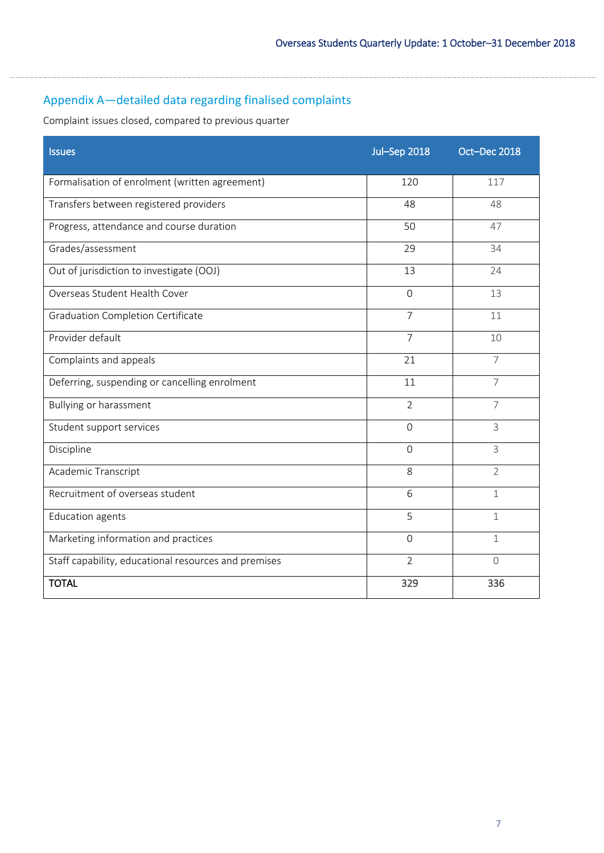# <span id="page-6-0"></span>Appendix A—detailed data regarding finalised complaints

Complaint issues closed, compared to previous quarter

| <b>Issues</b>                                        | <b>Jul-Sep 2018</b> | Oct-Dec 2018   |
|------------------------------------------------------|---------------------|----------------|
| Formalisation of enrolment (written agreement)       | 120                 | 117            |
| Transfers between registered providers               | 48                  | 48             |
| Progress, attendance and course duration             | 50                  | 47             |
| Grades/assessment                                    | 29                  | 34             |
| Out of jurisdiction to investigate (OOJ)             | 13                  | 24             |
| Overseas Student Health Cover                        | $\overline{0}$      | 13             |
| <b>Graduation Completion Certificate</b>             | $\overline{7}$      | 11             |
| Provider default                                     | $\overline{7}$      | 10             |
| Complaints and appeals                               | 21                  | $\overline{7}$ |
| Deferring, suspending or cancelling enrolment        | 11                  | $\overline{7}$ |
| <b>Bullying or harassment</b>                        | $\overline{2}$      | $\overline{7}$ |
| Student support services                             | $\Omega$            | 3              |
| Discipline                                           | $\Omega$            | 3              |
| Academic Transcript                                  | 8                   | $\overline{2}$ |
| Recruitment of overseas student                      | 6                   | 1              |
| <b>Education agents</b>                              | 5                   | $\mathbf{1}$   |
| Marketing information and practices                  | $\Omega$            | 1              |
| Staff capability, educational resources and premises | $\overline{2}$      | $\bigcap$      |
| <b>TOTAL</b>                                         | 329                 | 336            |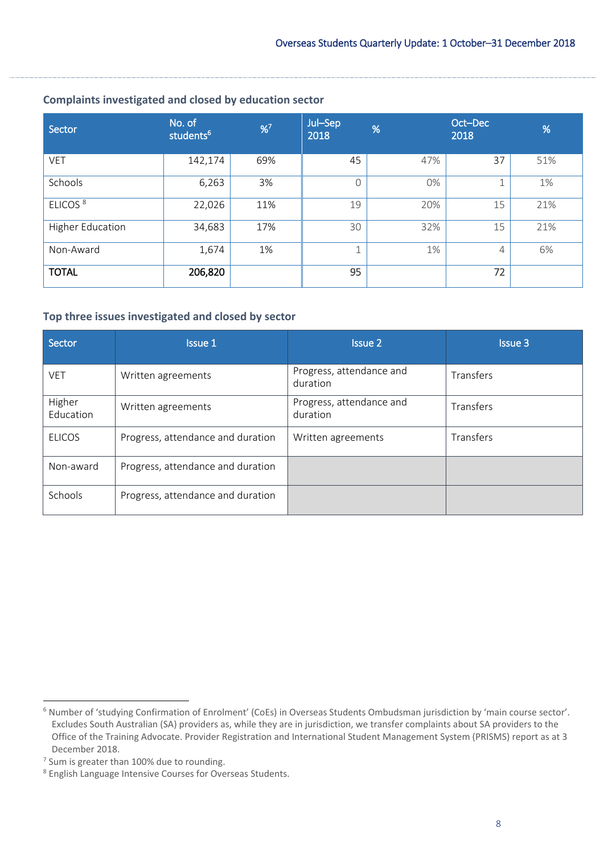### **Complaints investigated and closed by education sector**

| Sector                  | No. of<br>students <sup>6</sup> | %7  | Jul-Sep<br>2018 | %   | Oct-Dec<br>2018 | %   |
|-------------------------|---------------------------------|-----|-----------------|-----|-----------------|-----|
| <b>VET</b>              | 142,174                         | 69% | 45              | 47% | 37              | 51% |
| Schools                 | 6,263                           | 3%  | Ω               | 0%  |                 | 1%  |
| ELICOS <sup>8</sup>     | 22,026                          | 11% | 19              | 20% | 15              | 21% |
| <b>Higher Education</b> | 34,683                          | 17% | 30              | 32% | 15              | 21% |
| Non-Award               | 1,674                           | 1%  |                 | 1%  | 4               | 6%  |
| <b>TOTAL</b>            | 206,820                         |     | 95              |     | 72              |     |

#### **Top three issues investigated and closed by sector**

| Sector              | <b>Issue 1</b>                    | <b>Issue 2</b>                       | <b>Issue 3</b> |
|---------------------|-----------------------------------|--------------------------------------|----------------|
| <b>VET</b>          | Written agreements                | Progress, attendance and<br>duration | Transfers      |
| Higher<br>Education | Written agreements                | Progress, attendance and<br>duration | Transfers      |
| <b>ELICOS</b>       | Progress, attendance and duration | Written agreements                   | Transfers      |
| Non-award           | Progress, attendance and duration |                                      |                |
| Schools             | Progress, attendance and duration |                                      |                |

 $\overline{\phantom{a}}$ 

<sup>6</sup> Number of 'studying Confirmation of Enrolment' (CoEs) in Overseas Students Ombudsman jurisdiction by 'main course sector'. Excludes South Australian (SA) providers as, while they are in jurisdiction, we transfer complaints about SA providers to the Office of the Training Advocate. Provider Registration and International Student Management System (PRISMS) report as at 3 December 2018.

<sup>&</sup>lt;sup>7</sup> Sum is greater than 100% due to rounding.

<sup>8</sup> English Language Intensive Courses for Overseas Students.